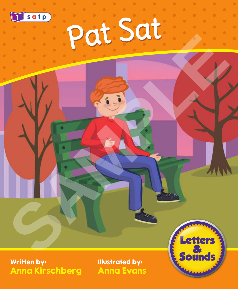

Written by: Anna Kirschberg Illustrated by: Anna Evans

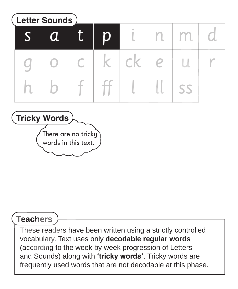s g h a o b t c n e ll p k m u ss i ck l d r **Letter Sounds**  $f \mid ff$ **Sature Contains the Contains of the Contains of the Contains of the Contains of the Contains of the Contains of the Contains of the Contains of the Contains of the Contains of the Contains of the Contains of the Contains** 



#### **Teachers**

These readers have been written using a strictly controlled vocabulary. Text uses only **decodable regular words**  (according to the week by week progression of Letters and Sounds) along with **'tricky words'**. Tricky words are frequently used words that are not decodable at this phase.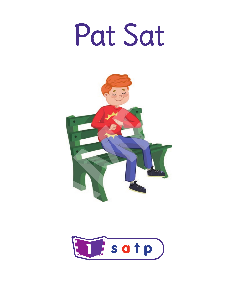



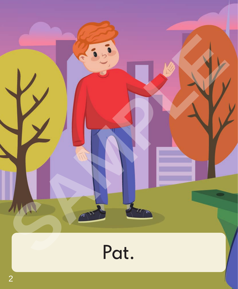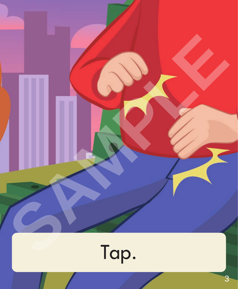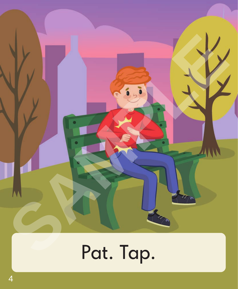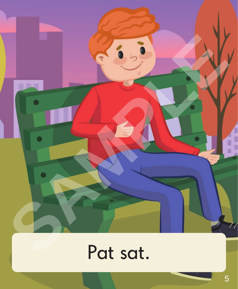

### Pat sat.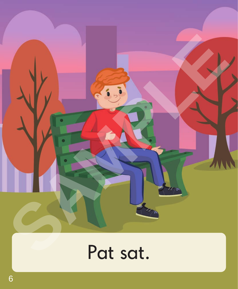

## Pat sat.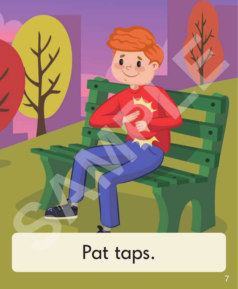

# Pat taps.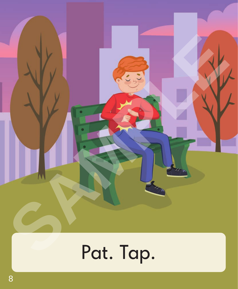# **SAMPLE DESCRIPTION** Pat. Tap.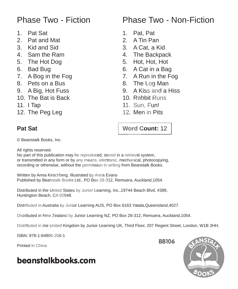#### Phase Two - Fiction

- 1. Pat Sat
- 2. Pat and Mat
- 3. Kid and Sid
- 4. Sam the Ram
- 5. The Hot Dog
- 6. Bad Bug
- 7. A Bog in the Fog
- 8. Pets on a Bus
- 9. A Big, Hot Fuss
- 10. The Bat is Back
- 11. I Tap
- 12. The Peg Leg

#### Phase Two - Non-Fiction

- 1. Pat, Pat
- 2. A Tin Pan
- 3. A Cat, a Kid
- 4. The Backpack
- 5. Hot, Hot, Hot
- 6. A Cat in a Bag
- 7. A Run in the Fog
- 8. The Log Man
- 9. A Kiss and a Hiss
- 10. Rabbit Runs
- 11. Sun, Fun!
- 12. Men in Pits

#### **Pat Sat**

#### **Word Count:** 12

© Beanstalk Books, Inc.

All rights reserved.

No part of this publication may be reproduced, stored in a retrieval system, or transmitted in any form or by any means, electronic, mechanical, photocopying, recording or otherwise, without the permission in writing from Beanstalk Books. 1. Pat Sat<br>
2. Pat and Mat<br>
2. A Tin Pan<br>
3. Kid and Sid<br>
4. The Backpack<br>
4. The Hot Dog<br>
6. A Cat, a Kid<br>
4. The Backpack<br>
6. Bad Bug<br>
7. A Bog in the Fog<br>
7. A Bog in the Fog<br>
8. Pat San a Bus<br>
8. The Log Man<br>
9. A Run

Written by Anna Kirschberg. Illustrated by Anna Evans Published by Beanstalk Books Ltd., PO Box 28-312, Remuera, Auckland,1054.

Distributed in the United States by Junior Learning, Inc.,19744 Beach Blvd, #389, Huntington Beach, CA 92648.

Distributed in Australia by Junior Learning AUS, PO Box 6163 Yatala,Queensland,4027.

Distributed in New Zealand by Junior Learning NZ, PO Box 28-312, Remuera, Auckland,1054.

Distributed in the United Kingdom by Junior Learning UK, Third Floor, 207 Regent Street, London, W1B 3HH.

ISBN: 978-1-64806-200-1

Printed in China

#### beanstalkbooks.com



**BB106**